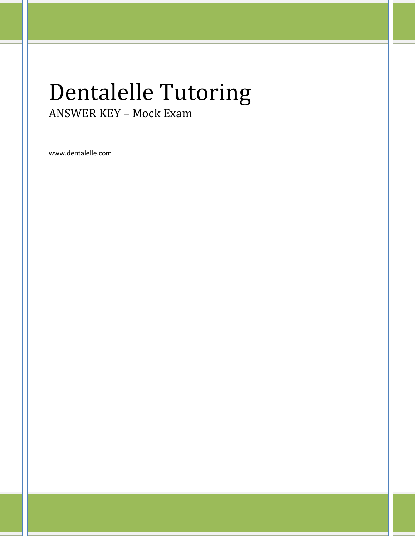# Dentalelle Tutoring ANSWER KEY – Mock Exam

www.dentalelle.com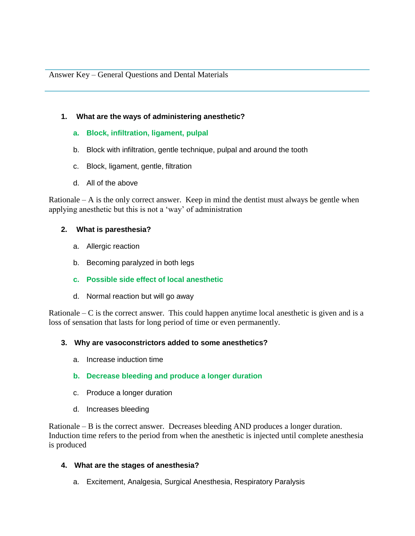## **1. What are the ways of administering anesthetic?**

## **a. Block, infiltration, ligament, pulpal**

- b. Block with infiltration, gentle technique, pulpal and around the tooth
- c. Block, ligament, gentle, filtration
- d. All of the above

Rationale  $- A$  is the only correct answer. Keep in mind the dentist must always be gentle when applying anesthetic but this is not a 'way' of administration

## **2. What is paresthesia?**

- a. Allergic reaction
- b. Becoming paralyzed in both legs
- **c. Possible side effect of local anesthetic**
- d. Normal reaction but will go away

Rationale – C is the correct answer. This could happen anytime local anesthetic is given and is a loss of sensation that lasts for long period of time or even permanently.

## **3. Why are vasoconstrictors added to some anesthetics?**

- a. Increase induction time
- **b. Decrease bleeding and produce a longer duration**
- c. Produce a longer duration
- d. Increases bleeding

Rationale – B is the correct answer. Decreases bleeding AND produces a longer duration. Induction time refers to the period from when the anesthetic is injected until complete anesthesia is produced

## **4. What are the stages of anesthesia?**

a. Excitement, Analgesia, Surgical Anesthesia, Respiratory Paralysis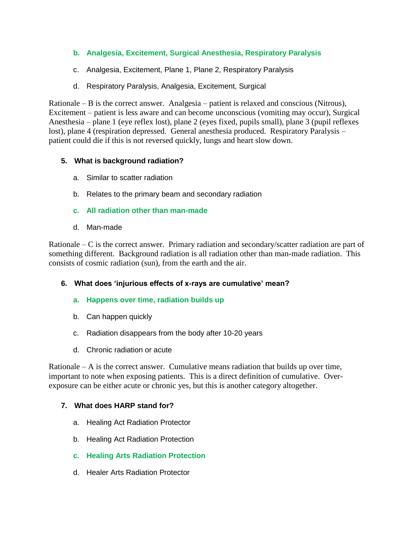# **b. Analgesia, Excitement, Surgical Anesthesia, Respiratory Paralysis**

- c. Analgesia, Excitement, Plane 1, Plane 2, Respiratory Paralysis
- d. Respiratory Paralysis, Analgesia, Excitement, Surgical

Rationale – B is the correct answer. Analgesia – patient is relaxed and conscious (Nitrous), Excitement – patient is less aware and can become unconscious (vomiting may occur), Surgical Anesthesia – plane 1 (eye reflex lost), plane 2 (eyes fixed, pupils small), plane 3 (pupil reflexes lost), plane 4 (respiration depressed. General anesthesia produced. Respiratory Paralysis – patient could die if this is not reversed quickly, lungs and heart slow down.

## **5. What is background radiation?**

- a. Similar to scatter radiation
- b. Relates to the primary beam and secondary radiation
- **c. All radiation other than man-made**
- d. Man-made

Rationale – C is the correct answer. Primary radiation and secondary/scatter radiation are part of something different. Background radiation is all radiation other than man-made radiation. This consists of cosmic radiation (sun), from the earth and the air.

# **6. What does 'injurious effects of x-rays are cumulative' mean?**

- **a. Happens over time, radiation builds up**
- b. Can happen quickly
- c. Radiation disappears from the body after 10-20 years
- d. Chronic radiation or acute

Rationale  $- A$  is the correct answer. Cumulative means radiation that builds up over time, important to note when exposing patients. This is a direct definition of cumulative. Overexposure can be either acute or chronic yes, but this is another category altogether.

# **7. What does HARP stand for?**

- a. Healing Act Radiation Protector
- b. Healing Act Radiation Protection
- **c. Healing Arts Radiation Protection**
- d. Healer Arts Radiation Protector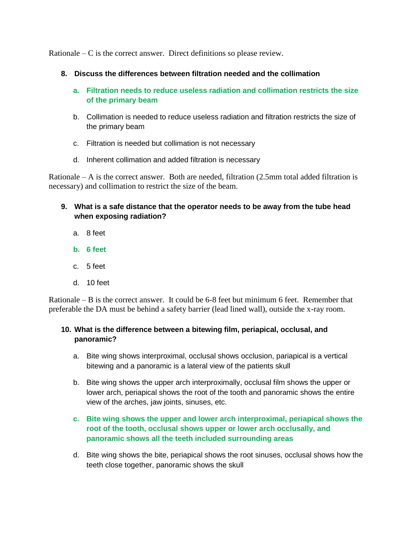Rationale  $-C$  is the correct answer. Direct definitions so please review.

- **8. Discuss the differences between filtration needed and the collimation**
	- **a. Filtration needs to reduce useless radiation and collimation restricts the size of the primary beam**
	- b. Collimation is needed to reduce useless radiation and filtration restricts the size of the primary beam
	- c. Filtration is needed but collimation is not necessary
	- d. Inherent collimation and added filtration is necessary

Rationale  $- A$  is the correct answer. Both are needed, filtration  $(2.5 \text{mm}$  total added filtration is necessary) and collimation to restrict the size of the beam.

- **9. What is a safe distance that the operator needs to be away from the tube head when exposing radiation?**
	- a. 8 feet
	- **b. 6 feet**
	- c. 5 feet
	- d. 10 feet

Rationale – B is the correct answer. It could be 6-8 feet but minimum 6 feet. Remember that preferable the DA must be behind a safety barrier (lead lined wall), outside the x-ray room.

## **10. What is the difference between a bitewing film, periapical, occlusal, and panoramic?**

- a. Bite wing shows interproximal, occlusal shows occlusion, pariapical is a vertical bitewing and a panoramic is a lateral view of the patients skull
- b. Bite wing shows the upper arch interproximally, occlusal film shows the upper or lower arch, periapical shows the root of the tooth and panoramic shows the entire view of the arches, jaw joints, sinuses, etc.

# **c. Bite wing shows the upper and lower arch interproximal, periapical shows the root of the tooth, occlusal shows upper or lower arch occlusally, and panoramic shows all the teeth included surrounding areas**

d. Bite wing shows the bite, periapical shows the root sinuses, occlusal shows how the teeth close together, panoramic shows the skull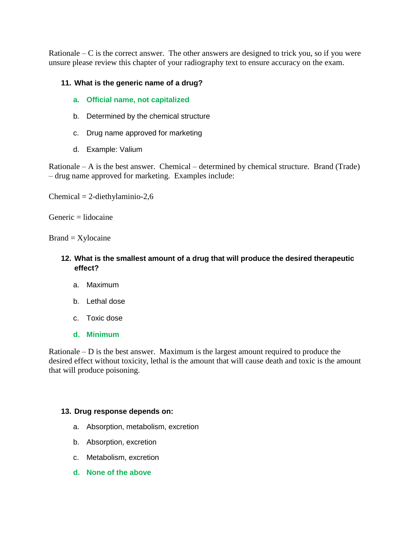Rationale – C is the correct answer. The other answers are designed to trick you, so if you were unsure please review this chapter of your radiography text to ensure accuracy on the exam.

## **11. What is the generic name of a drug?**

- **a. Official name, not capitalized**
- b. Determined by the chemical structure
- c. Drug name approved for marketing
- d. Example: Valium

Rationale – A is the best answer. Chemical – determined by chemical structure. Brand (Trade) – drug name approved for marketing. Examples include:

 $Chemical = 2-diethylaminio-2,6$ 

 $G$ eneric  $=$  lidocaine

 $Brand = Xylocaine$ 

- **12. What is the smallest amount of a drug that will produce the desired therapeutic effect?**
	- a. Maximum
	- b. Lethal dose
	- c. Toxic dose
	- **d. Minimum**

Rationale – D is the best answer. Maximum is the largest amount required to produce the desired effect without toxicity, lethal is the amount that will cause death and toxic is the amount that will produce poisoning.

## **13. Drug response depends on:**

- a. Absorption, metabolism, excretion
- b. Absorption, excretion
- c. Metabolism, excretion
- **d. None of the above**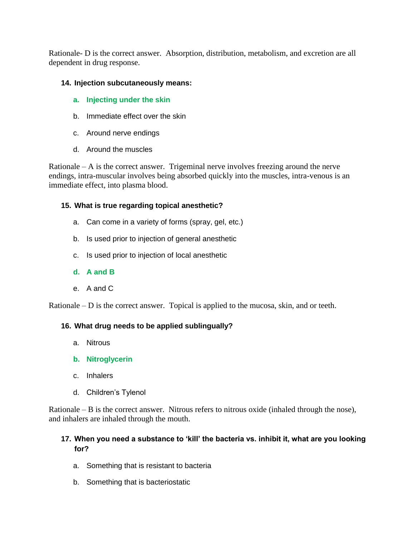Rationale- D is the correct answer. Absorption, distribution, metabolism, and excretion are all dependent in drug response.

## **14. Injection subcutaneously means:**

- **a. Injecting under the skin**
- b. Immediate effect over the skin
- c. Around nerve endings
- d. Around the muscles

Rationale  $- A$  is the correct answer. Trigeminal nerve involves freezing around the nerve endings, intra-muscular involves being absorbed quickly into the muscles, intra-venous is an immediate effect, into plasma blood.

## **15. What is true regarding topical anesthetic?**

- a. Can come in a variety of forms (spray, gel, etc.)
- b. Is used prior to injection of general anesthetic
- c. Is used prior to injection of local anesthetic
- **d. A and B**
- e. A and C

Rationale  $-$  D is the correct answer. Topical is applied to the mucosa, skin, and or teeth.

# **16. What drug needs to be applied sublingually?**

- a. Nitrous
- **b. Nitroglycerin**
- c. Inhalers
- d. Children's Tylenol

Rationale – B is the correct answer. Nitrous refers to nitrous oxide (inhaled through the nose), and inhalers are inhaled through the mouth.

## **17. When you need a substance to 'kill' the bacteria vs. inhibit it, what are you looking for?**

- a. Something that is resistant to bacteria
- b. Something that is bacteriostatic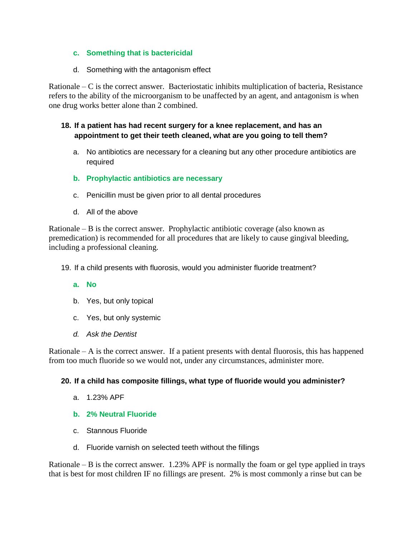## **c. Something that is bactericidal**

d. Something with the antagonism effect

Rationale – C is the correct answer. Bacteriostatic inhibits multiplication of bacteria, Resistance refers to the ability of the microorganism to be unaffected by an agent, and antagonism is when one drug works better alone than 2 combined.

## **18. If a patient has had recent surgery for a knee replacement, and has an appointment to get their teeth cleaned, what are you going to tell them?**

- a. No antibiotics are necessary for a cleaning but any other procedure antibiotics are required
- **b. Prophylactic antibiotics are necessary**
- c. Penicillin must be given prior to all dental procedures
- d. All of the above

Rationale  $-B$  is the correct answer. Prophylactic antibiotic coverage (also known as premedication) is recommended for all procedures that are likely to cause gingival bleeding, including a professional cleaning.

19. If a child presents with fluorosis, would you administer fluoride treatment?

## **a. No**

- b. Yes, but only topical
- c. Yes, but only systemic
- *d. Ask the Dentist*

Rationale  $- A$  is the correct answer. If a patient presents with dental fluorosis, this has happened from too much fluoride so we would not, under any circumstances, administer more.

## **20. If a child has composite fillings, what type of fluoride would you administer?**

- a. 1.23% APF
- **b. 2% Neutral Fluoride**
- c. Stannous Fluoride
- d. Fluoride varnish on selected teeth without the fillings

Rationale – B is the correct answer. 1.23% APF is normally the foam or gel type applied in trays that is best for most children IF no fillings are present. 2% is most commonly a rinse but can be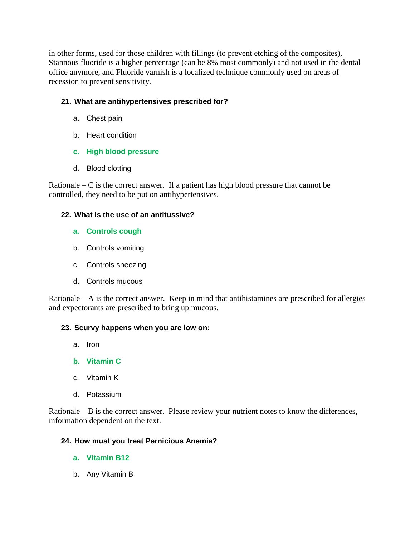in other forms, used for those children with fillings (to prevent etching of the composites), Stannous fluoride is a higher percentage (can be 8% most commonly) and not used in the dental office anymore, and Fluoride varnish is a localized technique commonly used on areas of recession to prevent sensitivity.

# **21. What are antihypertensives prescribed for?**

- a. Chest pain
- b. Heart condition

# **c. High blood pressure**

d. Blood clotting

Rationale  $-C$  is the correct answer. If a patient has high blood pressure that cannot be controlled, they need to be put on antihypertensives.

# **22. What is the use of an antitussive?**

- **a. Controls cough**
- b. Controls vomiting
- c. Controls sneezing
- d. Controls mucous

Rationale – A is the correct answer. Keep in mind that antihistamines are prescribed for allergies and expectorants are prescribed to bring up mucous.

# **23. Scurvy happens when you are low on:**

- a. Iron
- **b. Vitamin C**
- c. Vitamin K
- d. Potassium

Rationale – B is the correct answer. Please review your nutrient notes to know the differences, information dependent on the text.

# **24. How must you treat Pernicious Anemia?**

- **a. Vitamin B12**
- b. Any Vitamin B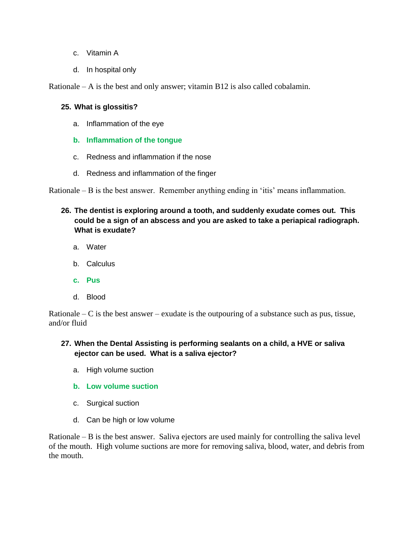- c. Vitamin A
- d. In hospital only

Rationale – A is the best and only answer; vitamin B12 is also called cobalamin.

## **25. What is glossitis?**

- a. Inflammation of the eye
- **b. Inflammation of the tongue**
- c. Redness and inflammation if the nose
- d. Redness and inflammation of the finger

Rationale – B is the best answer. Remember anything ending in 'itis' means inflammation.

- **26. The dentist is exploring around a tooth, and suddenly exudate comes out. This could be a sign of an abscess and you are asked to take a periapical radiograph. What is exudate?**
	- a. Water
	- b. Calculus
	- **c. Pus**
	- d. Blood

Rationale – C is the best answer – exudate is the outpouring of a substance such as pus, tissue, and/or fluid

# **27. When the Dental Assisting is performing sealants on a child, a HVE or saliva ejector can be used. What is a saliva ejector?**

- a. High volume suction
- **b. Low volume suction**
- c. Surgical suction
- d. Can be high or low volume

Rationale – B is the best answer. Saliva ejectors are used mainly for controlling the saliva level of the mouth. High volume suctions are more for removing saliva, blood, water, and debris from the mouth.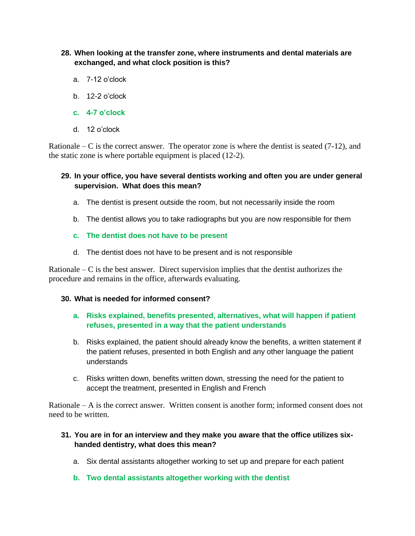- **28. When looking at the transfer zone, where instruments and dental materials are exchanged, and what clock position is this?**
	- a. 7-12 o'clock
	- b. 12-2 o'clock
	- **c. 4-7 o'clock**
	- d. 12 o'clock

Rationale – C is the correct answer. The operator zone is where the dentist is seated  $(7-12)$ , and the static zone is where portable equipment is placed (12-2).

## **29. In your office, you have several dentists working and often you are under general supervision. What does this mean?**

- a. The dentist is present outside the room, but not necessarily inside the room
- b. The dentist allows you to take radiographs but you are now responsible for them
- **c. The dentist does not have to be present**
- d. The dentist does not have to be present and is not responsible

Rationale –  $\overline{C}$  is the best answer. Direct supervision implies that the dentist authorizes the procedure and remains in the office, afterwards evaluating.

## **30. What is needed for informed consent?**

## **a. Risks explained, benefits presented, alternatives, what will happen if patient refuses, presented in a way that the patient understands**

- b. Risks explained, the patient should already know the benefits, a written statement if the patient refuses, presented in both English and any other language the patient understands
- c. Risks written down, benefits written down, stressing the need for the patient to accept the treatment, presented in English and French

Rationale – A is the correct answer. Written consent is another form; informed consent does not need to be written.

## **31. You are in for an interview and they make you aware that the office utilizes sixhanded dentistry, what does this mean?**

- a. Six dental assistants altogether working to set up and prepare for each patient
- **b. Two dental assistants altogether working with the dentist**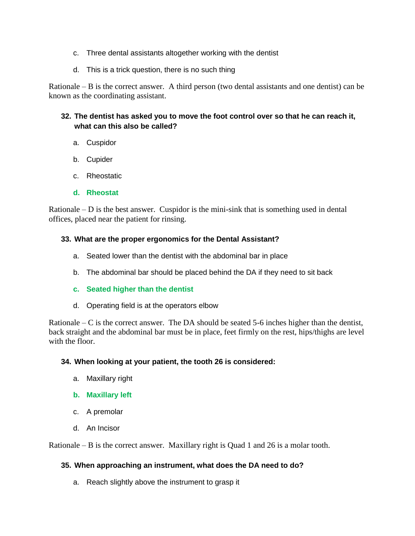- c. Three dental assistants altogether working with the dentist
- d. This is a trick question, there is no such thing

Rationale  $-$  B is the correct answer. A third person (two dental assistants and one dentist) can be known as the coordinating assistant.

# **32. The dentist has asked you to move the foot control over so that he can reach it, what can this also be called?**

- a. Cuspidor
- b. Cupider
- c. Rheostatic
- **d. Rheostat**

Rationale – D is the best answer. Cuspidor is the mini-sink that is something used in dental offices, placed near the patient for rinsing.

## **33. What are the proper ergonomics for the Dental Assistant?**

- a. Seated lower than the dentist with the abdominal bar in place
- b. The abdominal bar should be placed behind the DA if they need to sit back
- **c. Seated higher than the dentist**
- d. Operating field is at the operators elbow

Rationale – C is the correct answer. The DA should be seated  $5-6$  inches higher than the dentist, back straight and the abdominal bar must be in place, feet firmly on the rest, hips/thighs are level with the floor.

## **34. When looking at your patient, the tooth 26 is considered:**

- a. Maxillary right
- **b. Maxillary left**
- c. A premolar
- d. An Incisor

Rationale – B is the correct answer. Maxillary right is Quad 1 and 26 is a molar tooth.

# **35. When approaching an instrument, what does the DA need to do?**

a. Reach slightly above the instrument to grasp it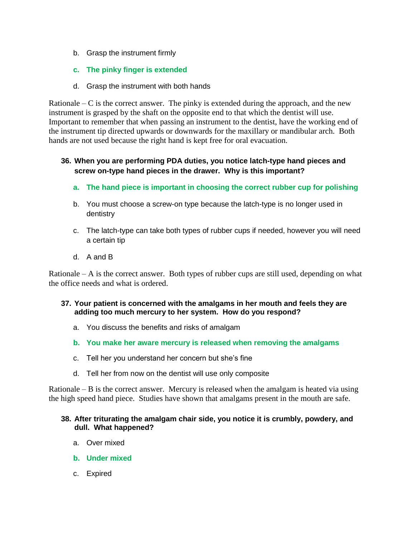- b. Grasp the instrument firmly
- **c. The pinky finger is extended**
- d. Grasp the instrument with both hands

Rationale – C is the correct answer. The pinky is extended during the approach, and the new instrument is grasped by the shaft on the opposite end to that which the dentist will use. Important to remember that when passing an instrument to the dentist, have the working end of the instrument tip directed upwards or downwards for the maxillary or mandibular arch. Both hands are not used because the right hand is kept free for oral evacuation.

# **36. When you are performing PDA duties, you notice latch-type hand pieces and screw on-type hand pieces in the drawer. Why is this important?**

- **a. The hand piece is important in choosing the correct rubber cup for polishing**
- b. You must choose a screw-on type because the latch-type is no longer used in dentistry
- c. The latch-type can take both types of rubber cups if needed, however you will need a certain tip
- d. A and B

Rationale  $- A$  is the correct answer. Both types of rubber cups are still used, depending on what the office needs and what is ordered.

- **37. Your patient is concerned with the amalgams in her mouth and feels they are adding too much mercury to her system. How do you respond?**
	- a. You discuss the benefits and risks of amalgam
	- **b. You make her aware mercury is released when removing the amalgams**
	- c. Tell her you understand her concern but she's fine
	- d. Tell her from now on the dentist will use only composite

Rationale  $-B$  is the correct answer. Mercury is released when the amalgam is heated via using the high speed hand piece. Studies have shown that amalgams present in the mouth are safe.

## **38. After triturating the amalgam chair side, you notice it is crumbly, powdery, and dull. What happened?**

- a. Over mixed
- **b. Under mixed**
- c. Expired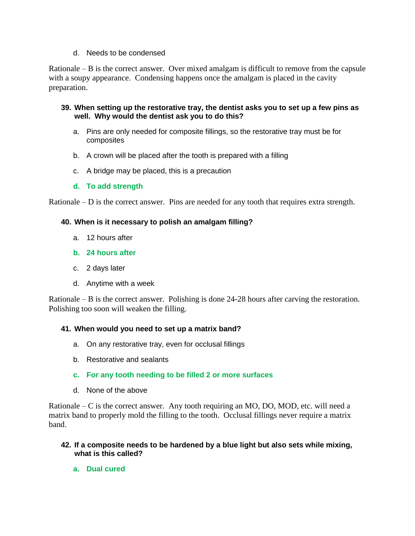## d. Needs to be condensed

Rationale – B is the correct answer. Over mixed amalgam is difficult to remove from the capsule with a soupy appearance. Condensing happens once the amalgam is placed in the cavity preparation.

## **39. When setting up the restorative tray, the dentist asks you to set up a few pins as well. Why would the dentist ask you to do this?**

- a. Pins are only needed for composite fillings, so the restorative tray must be for composites
- b. A crown will be placed after the tooth is prepared with a filling
- c. A bridge may be placed, this is a precaution
- **d. To add strength**

Rationale  $-$  D is the correct answer. Pins are needed for any tooth that requires extra strength.

## **40. When is it necessary to polish an amalgam filling?**

- a. 12 hours after
- **b. 24 hours after**
- c. 2 days later
- d. Anytime with a week

Rationale – B is the correct answer. Polishing is done 24-28 hours after carving the restoration. Polishing too soon will weaken the filling.

## **41. When would you need to set up a matrix band?**

- a. On any restorative tray, even for occlusal fillings
- b. Restorative and sealants
- **c. For any tooth needing to be filled 2 or more surfaces**
- d. None of the above

Rationale – C is the correct answer. Any tooth requiring an MO, DO, MOD, etc. will need a matrix band to properly mold the filling to the tooth. Occlusal fillings never require a matrix band.

## **42. If a composite needs to be hardened by a blue light but also sets while mixing, what is this called?**

**a. Dual cured**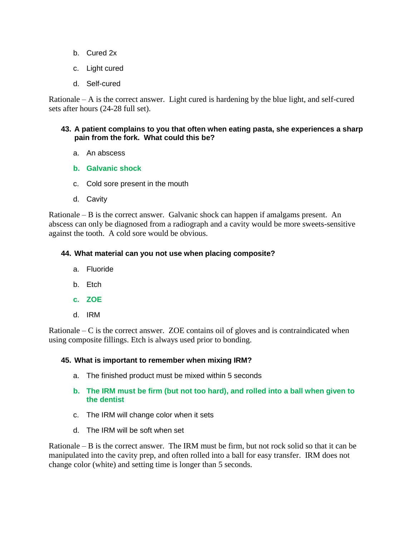- b. Cured 2x
- c. Light cured
- d. Self-cured

Rationale  $- A$  is the correct answer. Light cured is hardening by the blue light, and self-cured sets after hours (24-28 full set).

## **43. A patient complains to you that often when eating pasta, she experiences a sharp pain from the fork. What could this be?**

- a. An abscess
- **b. Galvanic shock**
- c. Cold sore present in the mouth
- d. Cavity

Rationale – B is the correct answer. Galvanic shock can happen if amalgams present. An abscess can only be diagnosed from a radiograph and a cavity would be more sweets-sensitive against the tooth. A cold sore would be obvious.

## **44. What material can you not use when placing composite?**

- a. Fluoride
- b. Etch
- **c. ZOE**
- d. IRM

Rationale  $-C$  is the correct answer. ZOE contains oil of gloves and is contraindicated when using composite fillings. Etch is always used prior to bonding.

## **45. What is important to remember when mixing IRM?**

- a. The finished product must be mixed within 5 seconds
- **b. The IRM must be firm (but not too hard), and rolled into a ball when given to the dentist**
- c. The IRM will change color when it sets
- d. The IRM will be soft when set

Rationale  $-$  B is the correct answer. The IRM must be firm, but not rock solid so that it can be manipulated into the cavity prep, and often rolled into a ball for easy transfer. IRM does not change color (white) and setting time is longer than 5 seconds.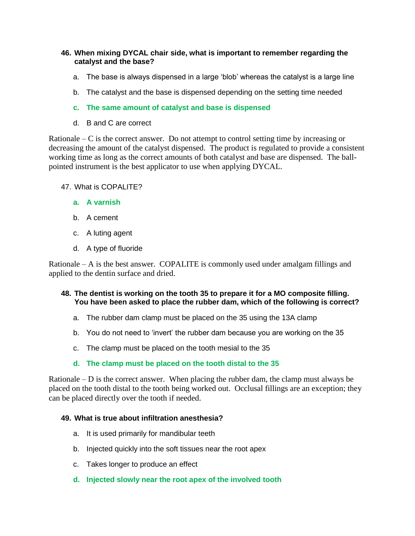## **46. When mixing DYCAL chair side, what is important to remember regarding the catalyst and the base?**

- a. The base is always dispensed in a large 'blob' whereas the catalyst is a large line
- b. The catalyst and the base is dispensed depending on the setting time needed
- **c. The same amount of catalyst and base is dispensed**
- d. B and C are correct

Rationale – C is the correct answer. Do not attempt to control setting time by increasing or decreasing the amount of the catalyst dispensed. The product is regulated to provide a consistent working time as long as the correct amounts of both catalyst and base are dispensed. The ballpointed instrument is the best applicator to use when applying DYCAL.

- 47. What is COPALITE?
	- **a. A varnish**
	- b. A cement
	- c. A luting agent
	- d. A type of fluoride

Rationale – A is the best answer. COPALITE is commonly used under amalgam fillings and applied to the dentin surface and dried.

#### **48. The dentist is working on the tooth 35 to prepare it for a MO composite filling. You have been asked to place the rubber dam, which of the following is correct?**

- a. The rubber dam clamp must be placed on the 35 using the 13A clamp
- b. You do not need to 'invert' the rubber dam because you are working on the 35
- c. The clamp must be placed on the tooth mesial to the 35

# **d. The clamp must be placed on the tooth distal to the 35**

Rationale – D is the correct answer. When placing the rubber dam, the clamp must always be placed on the tooth distal to the tooth being worked out. Occlusal fillings are an exception; they can be placed directly over the tooth if needed.

## **49. What is true about infiltration anesthesia?**

- a. It is used primarily for mandibular teeth
- b. Injected quickly into the soft tissues near the root apex
- c. Takes longer to produce an effect
- **d. Injected slowly near the root apex of the involved tooth**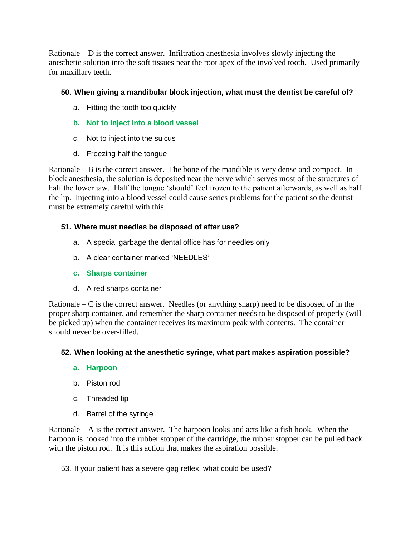Rationale  $-$  D is the correct answer. Infiltration anesthesia involves slowly injecting the anesthetic solution into the soft tissues near the root apex of the involved tooth. Used primarily for maxillary teeth.

# **50. When giving a mandibular block injection, what must the dentist be careful of?**

- a. Hitting the tooth too quickly
- **b. Not to inject into a blood vessel**
- c. Not to inject into the sulcus
- d. Freezing half the tongue

Rationale – B is the correct answer. The bone of the mandible is very dense and compact. In block anesthesia, the solution is deposited near the nerve which serves most of the structures of half the lower jaw. Half the tongue 'should' feel frozen to the patient afterwards, as well as half the lip. Injecting into a blood vessel could cause series problems for the patient so the dentist must be extremely careful with this.

# **51. Where must needles be disposed of after use?**

- a. A special garbage the dental office has for needles only
- b. A clear container marked 'NEEDLES'
- **c. Sharps container**
- d. A red sharps container

Rationale – C is the correct answer. Needles (or anything sharp) need to be disposed of in the proper sharp container, and remember the sharp container needs to be disposed of properly (will be picked up) when the container receives its maximum peak with contents. The container should never be over-filled.

# **52. When looking at the anesthetic syringe, what part makes aspiration possible?**

# **a. Harpoon**

- b. Piston rod
- c. Threaded tip
- d. Barrel of the syringe

Rationale  $- A$  is the correct answer. The harpoon looks and acts like a fish hook. When the harpoon is hooked into the rubber stopper of the cartridge, the rubber stopper can be pulled back with the piston rod. It is this action that makes the aspiration possible.

53. If your patient has a severe gag reflex, what could be used?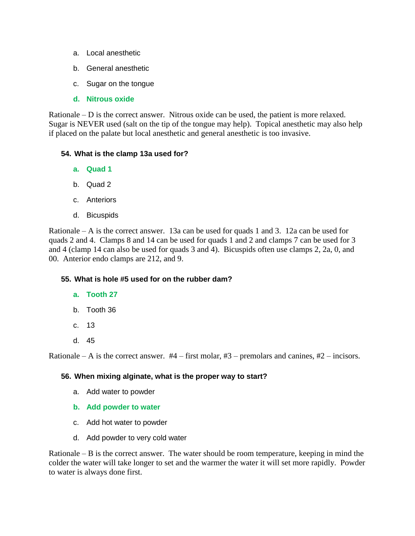- a. Local anesthetic
- b. General anesthetic
- c. Sugar on the tongue
- **d. Nitrous oxide**

Rationale – D is the correct answer. Nitrous oxide can be used, the patient is more relaxed. Sugar is NEVER used (salt on the tip of the tongue may help). Topical anesthetic may also help if placed on the palate but local anesthetic and general anesthetic is too invasive.

## **54. What is the clamp 13a used for?**

- **a. Quad 1**
- b. Quad 2
- c. Anteriors
- d. Bicuspids

Rationale – A is the correct answer. 13a can be used for quads 1 and 3. 12a can be used for quads 2 and 4. Clamps 8 and 14 can be used for quads 1 and 2 and clamps 7 can be used for 3 and 4 (clamp 14 can also be used for quads 3 and 4). Bicuspids often use clamps 2, 2a, 0, and 00. Anterior endo clamps are 212, and 9.

# **55. What is hole #5 used for on the rubber dam?**

- **a. Tooth 27**
- b. Tooth 36
- c. 13
- d. 45

Rationale – A is the correct answer.  $#4$  – first molar,  $#3$  – premolars and canines,  $#2$  – incisors.

## **56. When mixing alginate, what is the proper way to start?**

- a. Add water to powder
- **b. Add powder to water**
- c. Add hot water to powder
- d. Add powder to very cold water

Rationale – B is the correct answer. The water should be room temperature, keeping in mind the colder the water will take longer to set and the warmer the water it will set more rapidly. Powder to water is always done first.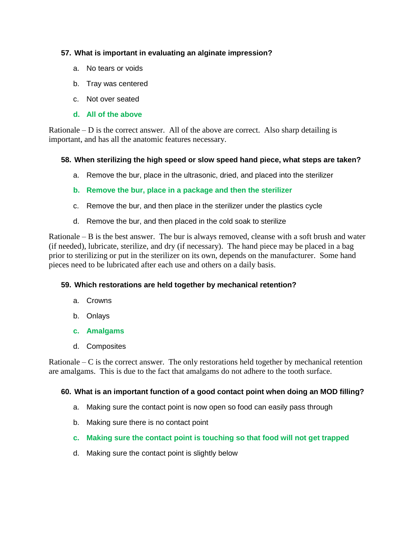## **57. What is important in evaluating an alginate impression?**

- a. No tears or voids
- b. Tray was centered
- c. Not over seated
- **d. All of the above**

Rationale – D is the correct answer. All of the above are correct. Also sharp detailing is important, and has all the anatomic features necessary.

## **58. When sterilizing the high speed or slow speed hand piece, what steps are taken?**

- a. Remove the bur, place in the ultrasonic, dried, and placed into the sterilizer
- **b. Remove the bur, place in a package and then the sterilizer**
- c. Remove the bur, and then place in the sterilizer under the plastics cycle
- d. Remove the bur, and then placed in the cold soak to sterilize

Rationale – B is the best answer. The bur is always removed, cleanse with a soft brush and water (if needed), lubricate, sterilize, and dry (if necessary). The hand piece may be placed in a bag prior to sterilizing or put in the sterilizer on its own, depends on the manufacturer. Some hand pieces need to be lubricated after each use and others on a daily basis.

# **59. Which restorations are held together by mechanical retention?**

- a. Crowns
- b. Onlays
- **c. Amalgams**
- d. Composites

Rationale  $-C$  is the correct answer. The only restorations held together by mechanical retention are amalgams. This is due to the fact that amalgams do not adhere to the tooth surface.

## **60. What is an important function of a good contact point when doing an MOD filling?**

- a. Making sure the contact point is now open so food can easily pass through
- b. Making sure there is no contact point
- **c. Making sure the contact point is touching so that food will not get trapped**
- d. Making sure the contact point is slightly below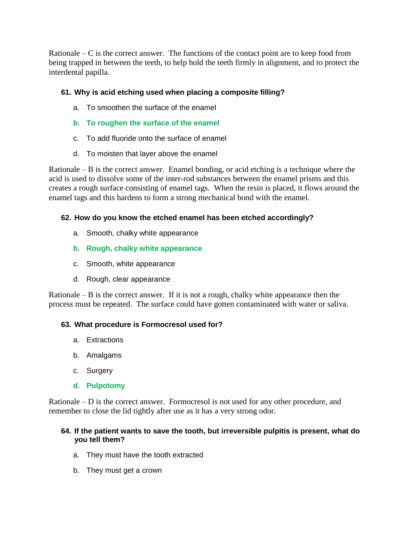Rationale  $-C$  is the correct answer. The functions of the contact point are to keep food from being trapped in between the teeth, to help hold the teeth firmly in alignment, and to protect the interdental papilla.

# **61. Why is acid etching used when placing a composite filling?**

- a. To smoothen the surface of the enamel
- **b. To roughen the surface of the enamel**
- c. To add fluoride onto the surface of enamel
- d. To moisten that layer above the enamel

Rationale – B is the correct answer. Enamel bonding, or acid etching is a technique where the acid is used to dissolve some of the inter-rod substances between the enamel prisms and this creates a rough surface consisting of enamel tags. When the resin is placed, it flows around the enamel tags and this hardens to form a strong mechanical bond with the enamel.

# **62. How do you know the etched enamel has been etched accordingly?**

- a. Smooth, chalky white appearance
- **b. Rough, chalky white appearance**
- c. Smooth, white appearance
- d. Rough, clear appearance

Rationale – B is the correct answer. If it is not a rough, chalky white appearance then the process must be repeated. The surface could have gotten contaminated with water or saliva.

# **63. What procedure is Formocresol used for?**

- a. Extractions
- b. Amalgams
- c. Surgery
- **d. Pulpotomy**

Rationale – D is the correct answer. Formocresol is not used for any other procedure, and remember to close the lid tightly after use as it has a very strong odor.

## **64. If the patient wants to save the tooth, but irreversible pulpitis is present, what do you tell them?**

- a. They must have the tooth extracted
- b. They must get a crown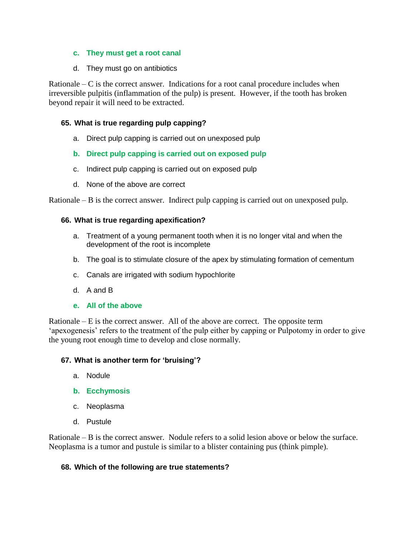## **c. They must get a root canal**

d. They must go on antibiotics

Rationale – C is the correct answer. Indications for a root canal procedure includes when irreversible pulpitis (inflammation of the pulp) is present. However, if the tooth has broken beyond repair it will need to be extracted.

# **65. What is true regarding pulp capping?**

a. Direct pulp capping is carried out on unexposed pulp

# **b. Direct pulp capping is carried out on exposed pulp**

- c. Indirect pulp capping is carried out on exposed pulp
- d. None of the above are correct

Rationale – B is the correct answer. Indirect pulp capping is carried out on unexposed pulp.

## **66. What is true regarding apexification?**

- a. Treatment of a young permanent tooth when it is no longer vital and when the development of the root is incomplete
- b. The goal is to stimulate closure of the apex by stimulating formation of cementum
- c. Canals are irrigated with sodium hypochlorite
- d. A and B
- **e. All of the above**

Rationale  $-E$  is the correct answer. All of the above are correct. The opposite term 'apexogenesis' refers to the treatment of the pulp either by capping or Pulpotomy in order to give the young root enough time to develop and close normally.

# **67. What is another term for 'bruising'?**

- a. Nodule
- **b. Ecchymosis**
- c. Neoplasma
- d. Pustule

Rationale – B is the correct answer. Nodule refers to a solid lesion above or below the surface. Neoplasma is a tumor and pustule is similar to a blister containing pus (think pimple).

## **68. Which of the following are true statements?**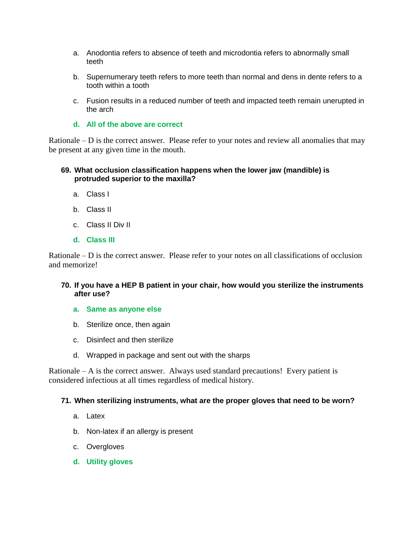- a. Anodontia refers to absence of teeth and microdontia refers to abnormally small teeth
- b. Supernumerary teeth refers to more teeth than normal and dens in dente refers to a tooth within a tooth
- c. Fusion results in a reduced number of teeth and impacted teeth remain unerupted in the arch
- **d. All of the above are correct**

Rationale – D is the correct answer. Please refer to your notes and review all anomalies that may be present at any given time in the mouth.

## **69. What occlusion classification happens when the lower jaw (mandible) is protruded superior to the maxilla?**

- a. Class I
- b. Class II
- c. Class II Div II
- **d. Class III**

Rationale  $-$  D is the correct answer. Please refer to your notes on all classifications of occlusion and memorize!

## **70. If you have a HEP B patient in your chair, how would you sterilize the instruments after use?**

- **a. Same as anyone else**
- b. Sterilize once, then again
- c. Disinfect and then sterilize
- d. Wrapped in package and sent out with the sharps

Rationale  $- A$  is the correct answer. Always used standard precautions! Every patient is considered infectious at all times regardless of medical history.

#### **71. When sterilizing instruments, what are the proper gloves that need to be worn?**

- a. Latex
- b. Non-latex if an allergy is present
- c. Overgloves
- **d. Utility gloves**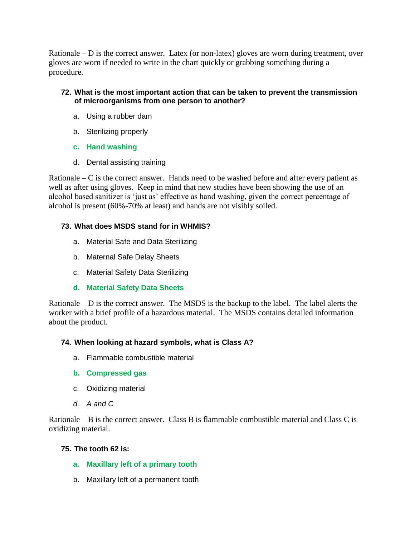Rationale  $-$  D is the correct answer. Latex (or non-latex) gloves are worn during treatment, over gloves are worn if needed to write in the chart quickly or grabbing something during a procedure.

# **72. What is the most important action that can be taken to prevent the transmission of microorganisms from one person to another?**

- a. Using a rubber dam
- b. Sterilizing properly
- **c. Hand washing**
- d. Dental assisting training

Rationale  $-C$  is the correct answer. Hands need to be washed before and after every patient as well as after using gloves. Keep in mind that new studies have been showing the use of an alcohol based sanitizer is 'just as' effective as hand washing, given the correct percentage of alcohol is present (60%-70% at least) and hands are not visibly soiled.

# **73. What does MSDS stand for in WHMIS?**

- a. Material Safe and Data Sterilizing
- b. Maternal Safe Delay Sheets
- c. Material Safety Data Sterilizing

# **d. Material Safety Data Sheets**

Rationale  $-$  D is the correct answer. The MSDS is the backup to the label. The label alerts the worker with a brief profile of a hazardous material. The MSDS contains detailed information about the product.

# **74. When looking at hazard symbols, what is Class A?**

- a. Flammable combustible material
- **b. Compressed gas**
- c. Oxidizing material
- *d. A and C*

Rationale – B is the correct answer. Class B is flammable combustible material and Class C is oxidizing material.

# **75. The tooth 62 is:**

- **a. Maxillary left of a primary tooth**
- b. Maxillary left of a permanent tooth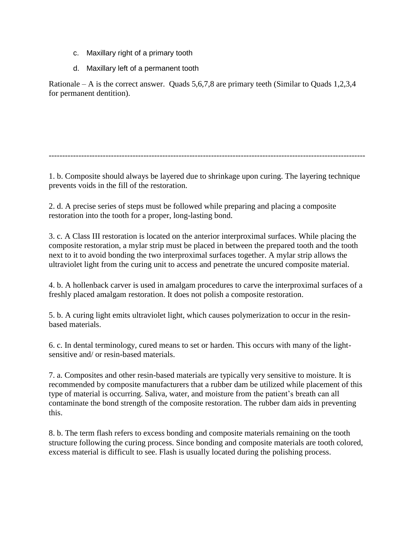- c. Maxillary right of a primary tooth
- d. Maxillary left of a permanent tooth

Rationale – A is the correct answer. Quads 5,6,7,8 are primary teeth (Similar to Quads 1,2,3,4 for permanent dentition).

---------------------------------------------------------------------------------------------------------------------

1. b. Composite should always be layered due to shrinkage upon curing. The layering technique prevents voids in the fill of the restoration.

2. d. A precise series of steps must be followed while preparing and placing a composite restoration into the tooth for a proper, long-lasting bond.

3. c. A Class III restoration is located on the anterior interproximal surfaces. While placing the composite restoration, a mylar strip must be placed in between the prepared tooth and the tooth next to it to avoid bonding the two interproximal surfaces together. A mylar strip allows the ultraviolet light from the curing unit to access and penetrate the uncured composite material.

4. b. A hollenback carver is used in amalgam procedures to carve the interproximal surfaces of a freshly placed amalgam restoration. It does not polish a composite restoration.

5. b. A curing light emits ultraviolet light, which causes polymerization to occur in the resinbased materials.

6. c. In dental terminology, cured means to set or harden. This occurs with many of the lightsensitive and/ or resin-based materials.

7. a. Composites and other resin-based materials are typically very sensitive to moisture. It is recommended by composite manufacturers that a rubber dam be utilized while placement of this type of material is occurring. Saliva, water, and moisture from the patient's breath can all contaminate the bond strength of the composite restoration. The rubber dam aids in preventing this.

8. b. The term flash refers to excess bonding and composite materials remaining on the tooth structure following the curing process. Since bonding and composite materials are tooth colored, excess material is difficult to see. Flash is usually located during the polishing process.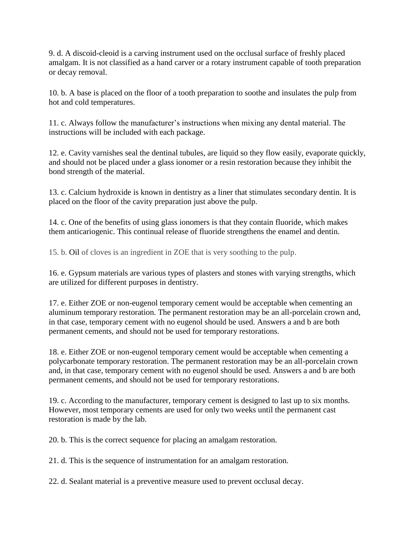9. d. A discoid-cleoid is a carving instrument used on the occlusal surface of freshly placed amalgam. It is not classified as a hand carver or a rotary instrument capable of tooth preparation or decay removal.

10. b. A base is placed on the floor of a tooth preparation to soothe and insulates the pulp from hot and cold temperatures.

11. c. Always follow the manufacturer's instructions when mixing any dental material. The instructions will be included with each package.

12. e. Cavity varnishes seal the dentinal tubules, are liquid so they flow easily, evaporate quickly, and should not be placed under a glass ionomer or a resin restoration because they inhibit the bond strength of the material.

13. c. Calcium hydroxide is known in dentistry as a liner that stimulates secondary dentin. It is placed on the floor of the cavity preparation just above the pulp.

14. c. One of the benefits of using glass ionomers is that they contain fluoride, which makes them anticariogenic. This continual release of fluoride strengthens the enamel and dentin.

15. b. [Oil](http://www.education.com/reference/article/dental-materials-practice-problems/?page=2) of cloves is an ingredient in ZOE that is very soothing to the pulp.

16. e. Gypsum materials are various types of plasters and stones with varying strengths, which are utilized for different purposes in dentistry.

17. e. Either ZOE or non-eugenol temporary cement would be acceptable when cementing an aluminum temporary restoration. The permanent restoration may be an all-porcelain crown and, in that case, temporary cement with no eugenol should be used. Answers a and b are both permanent cements, and should not be used for temporary restorations.

18. e. Either ZOE or non-eugenol temporary cement would be acceptable when cementing a polycarbonate temporary restoration. The permanent restoration may be an all-porcelain crown and, in that case, temporary cement with no eugenol should be used. Answers a and b are both permanent cements, and should not be used for temporary restorations.

19. c. According to the manufacturer, temporary cement is designed to last up to six months. However, most temporary cements are used for only two weeks until the permanent cast restoration is made by the lab.

20. b. This is the correct sequence for placing an amalgam restoration.

21. d. This is the sequence of instrumentation for an amalgam restoration.

22. d. Sealant material is a preventive measure used to prevent occlusal decay.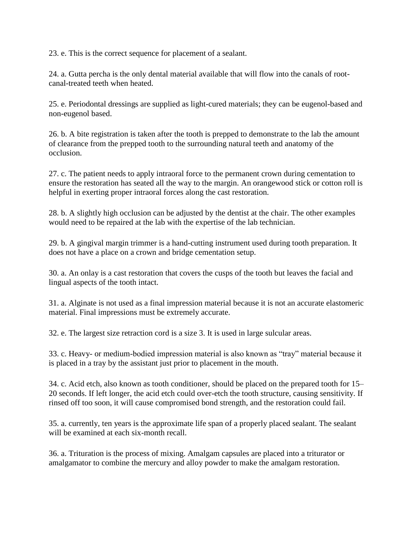23. e. This is the correct sequence for placement of a sealant.

24. a. Gutta percha is the only dental material available that will flow into the canals of rootcanal-treated teeth when heated.

25. e. Periodontal dressings are supplied as light-cured materials; they can be eugenol-based and non-eugenol based.

26. b. A bite registration is taken after the tooth is prepped to demonstrate to the lab the amount of clearance from the prepped tooth to the surrounding natural teeth and anatomy of the occlusion.

27. c. The patient needs to apply intraoral force to the permanent crown during cementation to ensure the restoration has seated all the way to the margin. An orangewood stick or cotton roll is helpful in exerting proper intraoral forces along the cast restoration.

28. b. A slightly high occlusion can be adjusted by the dentist at the chair. The other examples would need to be repaired at the lab with the expertise of the lab technician.

29. b. A gingival margin trimmer is a hand-cutting instrument used during tooth preparation. It does not have a place on a crown and bridge cementation setup.

30. a. An onlay is a cast restoration that covers the cusps of the tooth but leaves the facial and lingual aspects of the tooth intact.

31. a. Alginate is not used as a final impression material because it is not an accurate elastomeric material. Final impressions must be extremely accurate.

32. e. The largest size retraction cord is a size 3. It is used in large sulcular areas.

33. c. Heavy- or medium-bodied impression material is also known as "tray" material because it is placed in a tray by the assistant just prior to placement in the mouth.

34. c. Acid etch, also known as tooth conditioner, should be placed on the prepared tooth for 15– 20 seconds. If left longer, the acid etch could over-etch the tooth structure, causing sensitivity. If rinsed off too soon, it will cause compromised bond strength, and the restoration could fail.

35. a. currently, ten years is the approximate life span of a properly placed sealant. The sealant will be examined at each six-month recall.

36. a. Trituration is the process of mixing. Amalgam capsules are placed into a triturator or amalgamator to combine the mercury and alloy powder to make the amalgam restoration.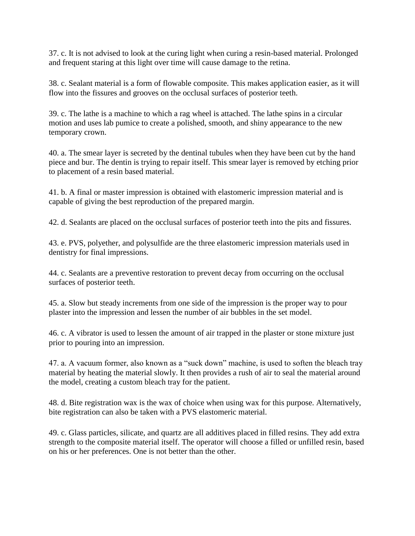37. c. It is not advised to look at the curing light when curing a resin-based material. Prolonged and frequent staring at this light over time will cause damage to the retina.

38. c. Sealant material is a form of flowable composite. This makes application easier, as it will flow into the fissures and grooves on the occlusal surfaces of posterior teeth.

39. c. The lathe is a machine to which a rag wheel is attached. The lathe spins in a circular motion and uses lab pumice to create a polished, smooth, and shiny appearance to the new temporary crown.

40. a. The smear layer is secreted by the dentinal tubules when they have been cut by the hand piece and bur. The dentin is trying to repair itself. This smear layer is removed by etching prior to placement of a resin based material.

41. b. A final or master impression is obtained with elastomeric impression material and is capable of giving the best reproduction of the prepared margin.

42. d. Sealants are placed on the occlusal surfaces of posterior teeth into the pits and fissures.

43. e. PVS, polyether, and polysulfide are the three elastomeric impression materials used in dentistry for final impressions.

44. c. Sealants are a preventive restoration to prevent decay from occurring on the occlusal surfaces of posterior teeth.

45. a. Slow but steady increments from one side of the impression is the proper way to pour plaster into the impression and lessen the number of air bubbles in the set model.

46. c. A vibrator is used to lessen the amount of air trapped in the plaster or stone mixture just prior to pouring into an impression.

47. a. A vacuum former, also known as a "suck down" machine, is used to soften the bleach tray material by heating the material slowly. It then provides a rush of air to seal the material around the model, creating a custom bleach tray for the patient.

48. d. Bite registration wax is the wax of choice when using wax for this purpose. Alternatively, bite registration can also be taken with a PVS elastomeric material.

49. c. Glass particles, silicate, and quartz are all additives placed in filled resins. They add extra strength to the composite material itself. The operator will choose a filled or unfilled resin, based on his or her preferences. One is not better than the other.